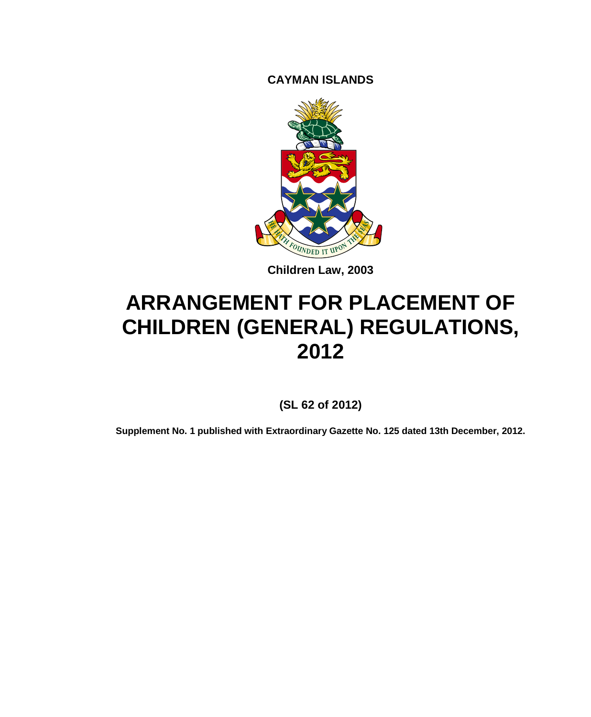**CAYMAN ISLANDS**



**Children Law, 2003**

# **ARRANGEMENT FOR PLACEMENT OF CHILDREN (GENERAL) REGULATIONS, 2012**

**(SL 62 of 2012)**

**Supplement No. 1 published with Extraordinary Gazette No. 125 dated 13th December, 2012.**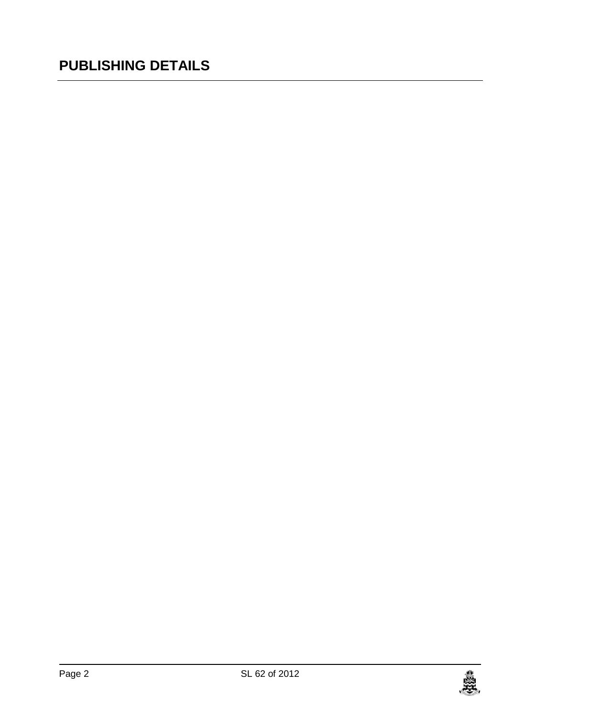# **PUBLISHING DETAILS**

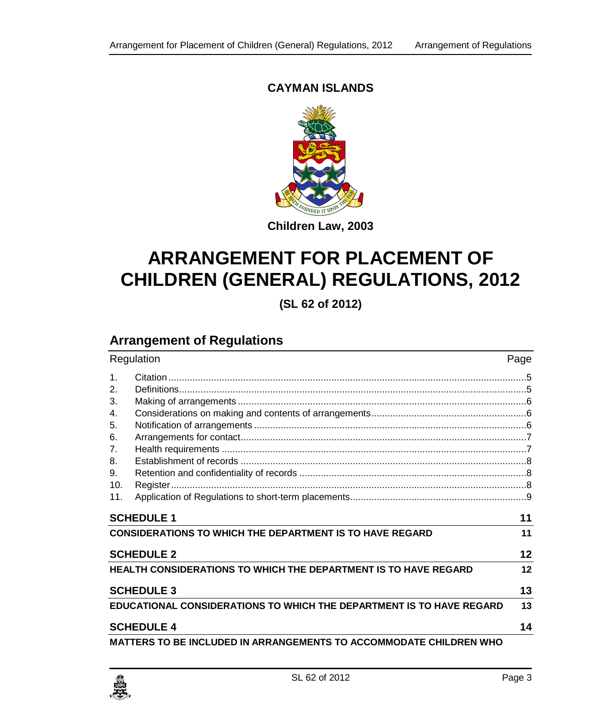#### **CAYMAN ISLANDS**



**Children Law, 2003**

# **ARRANGEMENT FOR PLACEMENT OF CHILDREN (GENERAL) REGULATIONS, 2012**

**(SL 62 of 2012)**

# **Arrangement of Regulations**

|                   | Regulation                                                                  |    |
|-------------------|-----------------------------------------------------------------------------|----|
| 1 <sub>1</sub>    |                                                                             |    |
| 2.                |                                                                             |    |
| 3.                |                                                                             |    |
| 4.                |                                                                             |    |
| 5.                |                                                                             |    |
| 6.                |                                                                             |    |
| 7.                |                                                                             |    |
| 8.                |                                                                             |    |
| 9.                |                                                                             |    |
| 10.               |                                                                             |    |
| 11.               |                                                                             |    |
|                   | <b>SCHEDULE 1</b>                                                           | 11 |
|                   | <b>CONSIDERATIONS TO WHICH THE DEPARTMENT IS TO HAVE REGARD</b>             | 11 |
| <b>SCHEDULE 2</b> |                                                                             | 12 |
|                   | <b>HEALTH CONSIDERATIONS TO WHICH THE DEPARTMENT IS TO HAVE REGARD</b>      |    |
|                   | <b>SCHEDULE 3</b>                                                           |    |
|                   | <b>EDUCATIONAL CONSIDERATIONS TO WHICH THE DEPARTMENT IS TO HAVE REGARD</b> | 13 |
|                   | <b>SCHEDULE 4</b>                                                           |    |
|                   | <b>MATTERS TO BE INCLUDED IN ARRANGEMENTS TO ACCOMMODATE CHILDREN WHO</b>   |    |

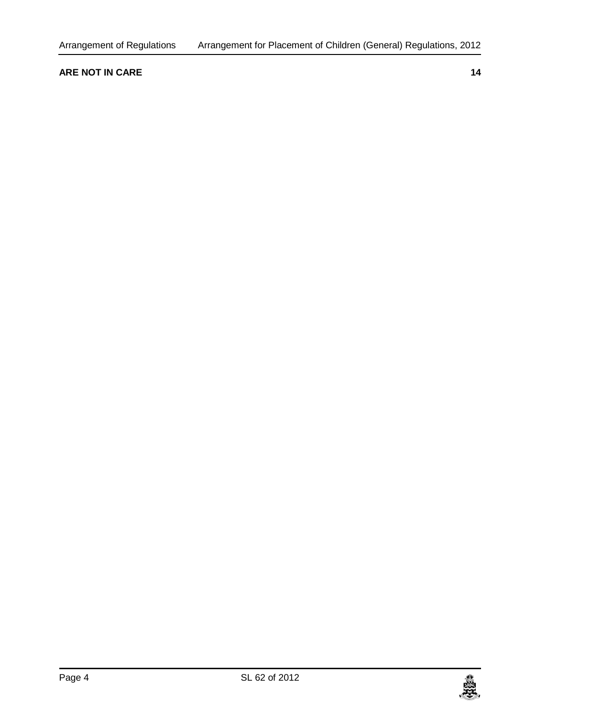#### **[ARE NOT IN CARE](#page-13-1) 14**

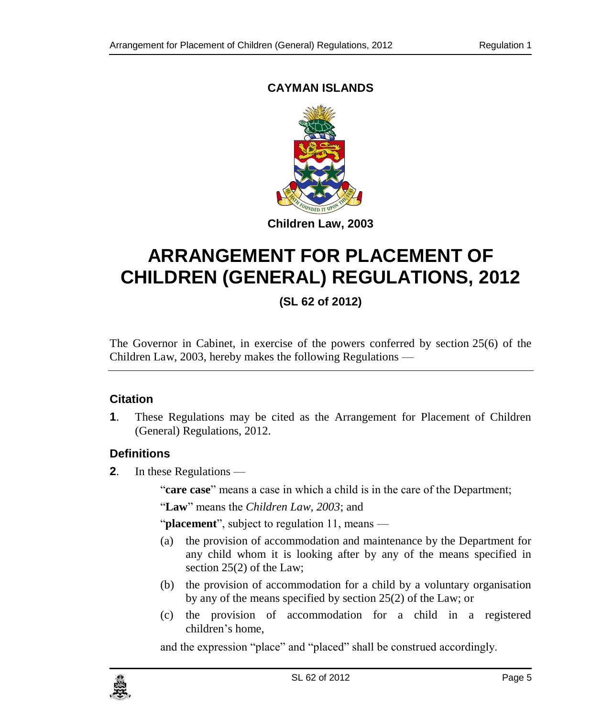### **CAYMAN ISLANDS**



# **ARRANGEMENT FOR PLACEMENT OF CHILDREN (GENERAL) REGULATIONS, 2012**

**(SL 62 of 2012)**

The Governor in Cabinet, in exercise of the powers conferred by section 25(6) of the Children Law, 2003, hereby makes the following Regulations —

#### <span id="page-4-0"></span>**1. Citation**

**1**. These Regulations may be cited as the Arrangement for Placement of Children (General) Regulations, 2012.

#### <span id="page-4-1"></span>**2. Definitions**

**2**. In these Regulations —

"care case" means a case in which a child is in the care of the Department;

"**Law**" means the *Children Law, 2003*; and

"**placement**", subject to regulation 11, means —

- (a) the provision of accommodation and maintenance by the Department for any child whom it is looking after by any of the means specified in section 25(2) of the Law;
- (b) the provision of accommodation for a child by a voluntary organisation by any of the means specified by section 25(2) of the Law; or
- (c) the provision of accommodation for a child in a registered children's home,

and the expression "place" and "placed" shall be construed accordingly.

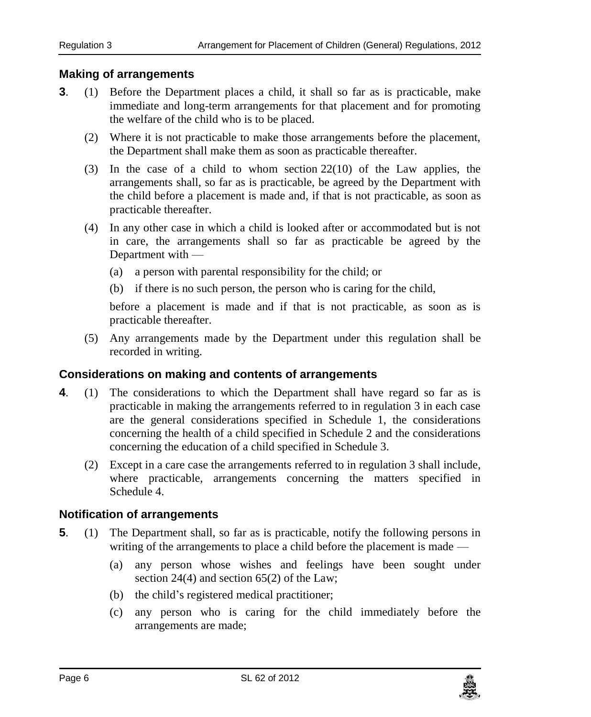#### <span id="page-5-0"></span>**3. Making of arrangements**

- **3**. (1) Before the Department places a child, it shall so far as is practicable, make immediate and long-term arrangements for that placement and for promoting the welfare of the child who is to be placed.
	- (2) Where it is not practicable to make those arrangements before the placement, the Department shall make them as soon as practicable thereafter.
	- (3) In the case of a child to whom section 22(10) of the Law applies, the arrangements shall, so far as is practicable, be agreed by the Department with the child before a placement is made and, if that is not practicable, as soon as practicable thereafter.
	- (4) In any other case in which a child is looked after or accommodated but is not in care, the arrangements shall so far as practicable be agreed by the Department with —
		- (a) a person with parental responsibility for the child; or
		- (b) if there is no such person, the person who is caring for the child,

before a placement is made and if that is not practicable, as soon as is practicable thereafter.

(5) Any arrangements made by the Department under this regulation shall be recorded in writing.

#### <span id="page-5-1"></span>**4. Considerations on making and contents of arrangements**

- **4**. (1) The considerations to which the Department shall have regard so far as is practicable in making the arrangements referred to in regulation 3 in each case are the general considerations specified in Schedule 1, the considerations concerning the health of a child specified in Schedule 2 and the considerations concerning the education of a child specified in Schedule 3.
	- (2) Except in a care case the arrangements referred to in regulation 3 shall include, where practicable, arrangements concerning the matters specified in Schedule 4.

#### <span id="page-5-2"></span>**5. Notification of arrangements**

- **5**. (1) The Department shall, so far as is practicable, notify the following persons in writing of the arrangements to place a child before the placement is made —
	- (a) any person whose wishes and feelings have been sought under section 24(4) and section 65(2) of the Law;
	- (b) the child's registered medical practitioner;
	- (c) any person who is caring for the child immediately before the arrangements are made;

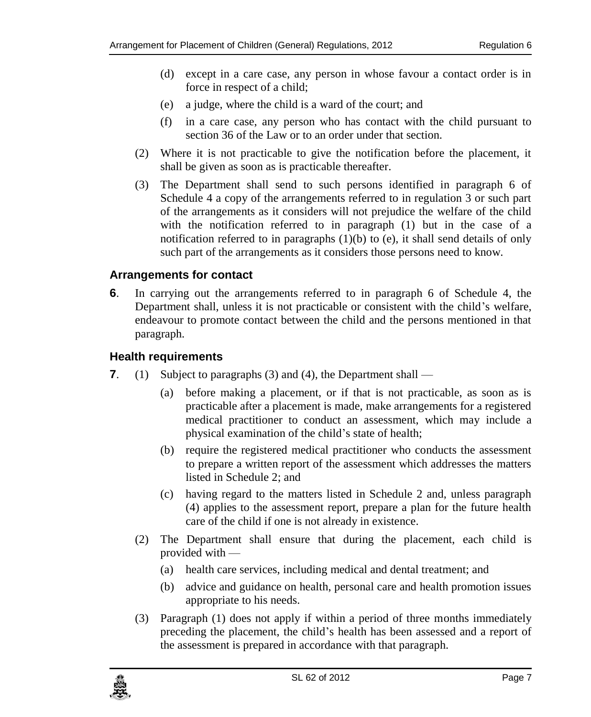- <span id="page-6-1"></span>(d) except in a care case, any person in whose favour a contact order is in force in respect of a child;
- (e) a judge, where the child is a ward of the court; and
- (f) in a care case, any person who has contact with the child pursuant to section 36 of the Law or to an order under that section.
- (2) Where it is not practicable to give the notification before the placement, it shall be given as soon as is practicable thereafter.
- (3) The Department shall send to such persons identified in paragraph 6 of Schedule 4 a copy of the arrangements referred to in regulation 3 or such part of the arrangements as it considers will not prejudice the welfare of the child with the notification referred to in paragraph (1) but in the case of a notification referred to in paragraphs  $(1)(b)$  to  $(e)$ , it shall send details of only such part of the arrangements as it considers those persons need to know.

#### <span id="page-6-0"></span>**6. Arrangements for contact**

**6**. In carrying out the arrangements referred to in paragraph 6 of Schedule 4, the Department shall, unless it is not practicable or consistent with the child's welfare, endeavour to promote contact between the child and the persons mentioned in that paragraph.

#### **7. Health requirements**

- **7**. (1) Subject to paragraphs (3) and (4), the Department shall
	- (a) before making a placement, or if that is not practicable, as soon as is practicable after a placement is made, make arrangements for a registered medical practitioner to conduct an assessment, which may include a physical examination of the child's state of health;
	- (b) require the registered medical practitioner who conducts the assessment to prepare a written report of the assessment which addresses the matters listed in Schedule 2; and
	- (c) having regard to the matters listed in Schedule 2 and, unless paragraph (4) applies to the assessment report, prepare a plan for the future health care of the child if one is not already in existence.
	- (2) The Department shall ensure that during the placement, each child is provided with —
		- (a) health care services, including medical and dental treatment; and
		- (b) advice and guidance on health, personal care and health promotion issues appropriate to his needs.
	- (3) Paragraph (1) does not apply if within a period of three months immediately preceding the placement, the child's health has been assessed and a report of the assessment is prepared in accordance with that paragraph.

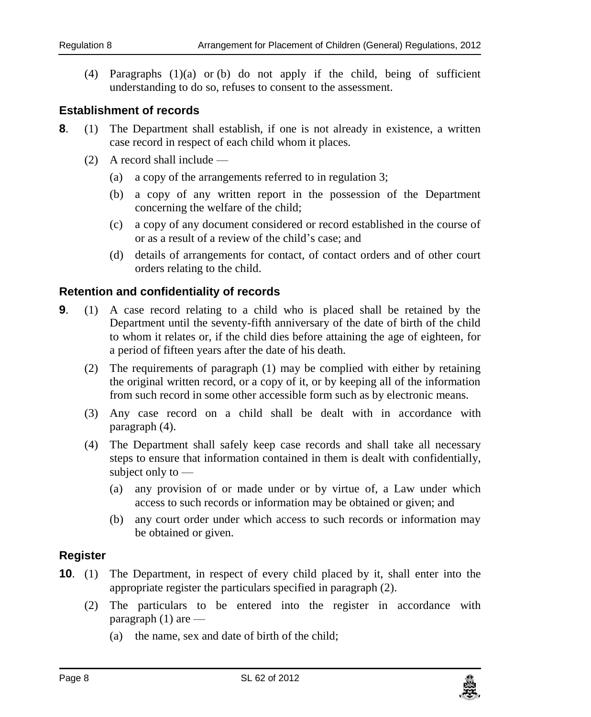<span id="page-7-0"></span>(4) Paragraphs  $(1)(a)$  or (b) do not apply if the child, being of sufficient understanding to do so, refuses to consent to the assessment.

#### **8. Establishment of records**

- **8**. (1) The Department shall establish, if one is not already in existence, a written case record in respect of each child whom it places.
	- (2) A record shall include
		- (a) a copy of the arrangements referred to in regulation 3;
		- (b) a copy of any written report in the possession of the Department concerning the welfare of the child;
		- (c) a copy of any document considered or record established in the course of or as a result of a review of the child's case; and
		- (d) details of arrangements for contact, of contact orders and of other court orders relating to the child.

#### **9. Retention and confidentiality of records**

- **9**. (1) A case record relating to a child who is placed shall be retained by the Department until the seventy-fifth anniversary of the date of birth of the child to whom it relates or, if the child dies before attaining the age of eighteen, for a period of fifteen years after the date of his death.
	- (2) The requirements of paragraph (1) may be complied with either by retaining the original written record, or a copy of it, or by keeping all of the information from such record in some other accessible form such as by electronic means.
	- (3) Any case record on a child shall be dealt with in accordance with paragraph (4).
	- (4) The Department shall safely keep case records and shall take all necessary steps to ensure that information contained in them is dealt with confidentially, subject only to —
		- (a) any provision of or made under or by virtue of, a Law under which access to such records or information may be obtained or given; and
		- (b) any court order under which access to such records or information may be obtained or given.

#### <span id="page-7-1"></span>**10. Register**

- **10.** (1) The Department, in respect of every child placed by it, shall enter into the appropriate register the particulars specified in paragraph (2).
	- (2) The particulars to be entered into the register in accordance with paragraph  $(1)$  are —
		- (a) the name, sex and date of birth of the child;

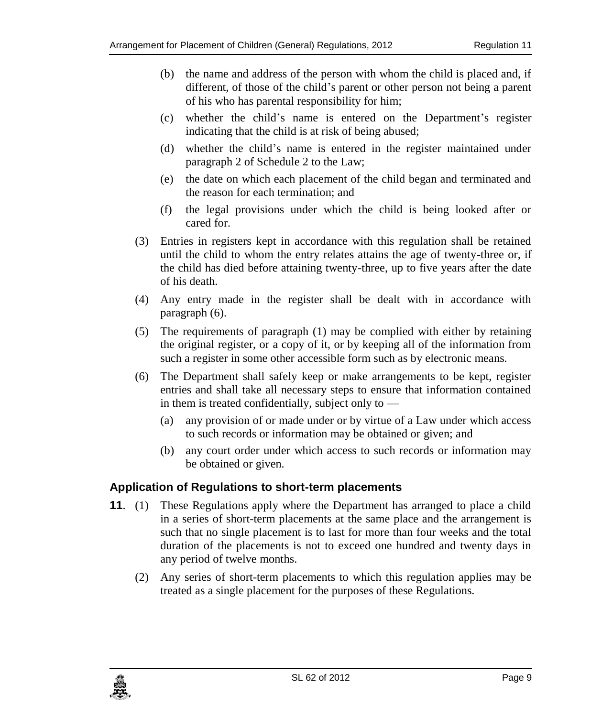- (b) the name and address of the person with whom the child is placed and, if different, of those of the child's parent or other person not being a parent of his who has parental responsibility for him;
- (c) whether the child's name is entered on the Department's register indicating that the child is at risk of being abused;
- (d) whether the child's name is entered in the register maintained under paragraph 2 of Schedule 2 to the Law;
- (e) the date on which each placement of the child began and terminated and the reason for each termination; and
- (f) the legal provisions under which the child is being looked after or cared for.
- (3) Entries in registers kept in accordance with this regulation shall be retained until the child to whom the entry relates attains the age of twenty-three or, if the child has died before attaining twenty-three, up to five years after the date of his death.
- (4) Any entry made in the register shall be dealt with in accordance with paragraph (6).
- (5) The requirements of paragraph (1) may be complied with either by retaining the original register, or a copy of it, or by keeping all of the information from such a register in some other accessible form such as by electronic means.
- (6) The Department shall safely keep or make arrangements to be kept, register entries and shall take all necessary steps to ensure that information contained in them is treated confidentially, subject only to —
	- (a) any provision of or made under or by virtue of a Law under which access to such records or information may be obtained or given; and
	- (b) any court order under which access to such records or information may be obtained or given.

#### <span id="page-8-0"></span>**11. Application of Regulations to short-term placements**

- **11**. (1) These Regulations apply where the Department has arranged to place a child in a series of short-term placements at the same place and the arrangement is such that no single placement is to last for more than four weeks and the total duration of the placements is not to exceed one hundred and twenty days in any period of twelve months.
	- (2) Any series of short-term placements to which this regulation applies may be treated as a single placement for the purposes of these Regulations.

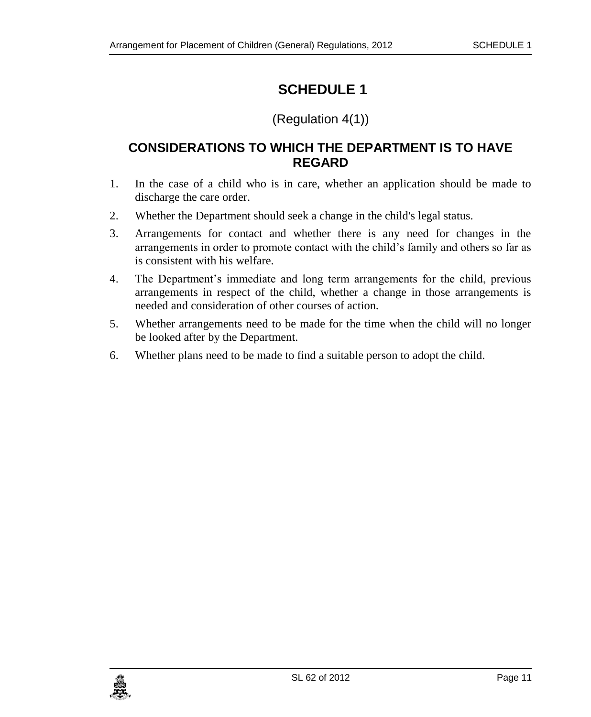## <span id="page-10-0"></span>(Regulation 4(1))

### <span id="page-10-1"></span>**CONSIDERATIONS TO WHICH THE DEPARTMENT IS TO HAVE REGARD**

- 1. In the case of a child who is in care, whether an application should be made to discharge the care order.
- 2. Whether the Department should seek a change in the child's legal status.
- 3. Arrangements for contact and whether there is any need for changes in the arrangements in order to promote contact with the child's family and others so far as is consistent with his welfare.
- 4. The Department's immediate and long term arrangements for the child, previous arrangements in respect of the child, whether a change in those arrangements is needed and consideration of other courses of action.
- 5. Whether arrangements need to be made for the time when the child will no longer be looked after by the Department.
- 6. Whether plans need to be made to find a suitable person to adopt the child.

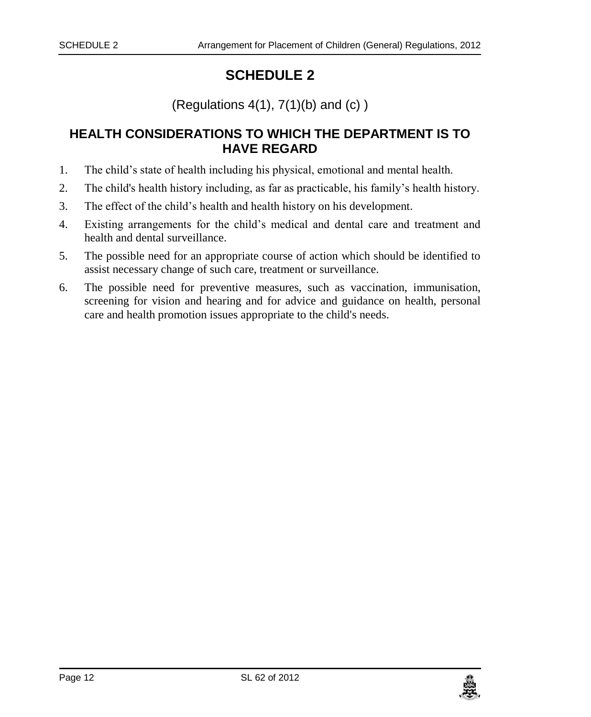(Regulations  $4(1)$ ,  $7(1)(b)$  and  $(c)$ )

### <span id="page-11-1"></span><span id="page-11-0"></span>**HEALTH CONSIDERATIONS TO WHICH THE DEPARTMENT IS TO HAVE REGARD**

- 1. The child's state of health including his physical, emotional and mental health.
- 2. The child's health history including, as far as practicable, his family's health history.
- 3. The effect of the child's health and health history on his development.
- 4. Existing arrangements for the child's medical and dental care and treatment and health and dental surveillance.
- 5. The possible need for an appropriate course of action which should be identified to assist necessary change of such care, treatment or surveillance.
- 6. The possible need for preventive measures, such as vaccination, immunisation, screening for vision and hearing and for advice and guidance on health, personal care and health promotion issues appropriate to the child's needs.

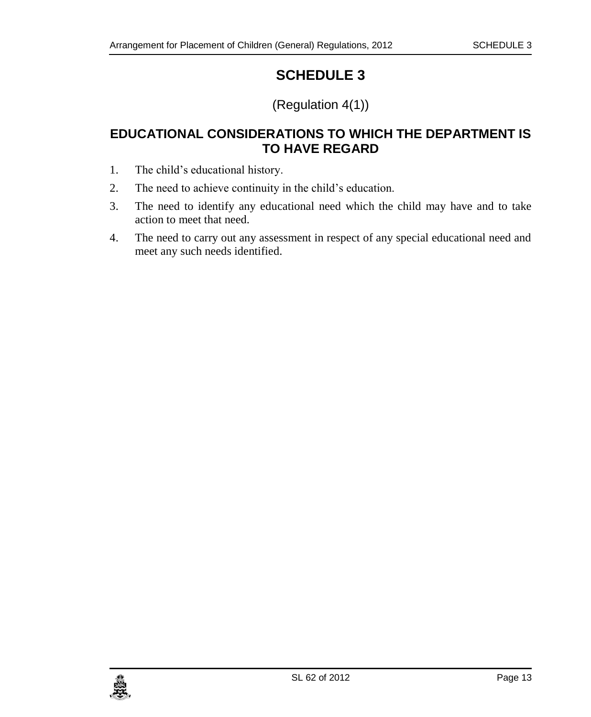# (Regulation 4(1))

## <span id="page-12-1"></span><span id="page-12-0"></span>**EDUCATIONAL CONSIDERATIONS TO WHICH THE DEPARTMENT IS TO HAVE REGARD**

- 1. The child's educational history.
- 2. The need to achieve continuity in the child's education.
- 3. The need to identify any educational need which the child may have and to take action to meet that need.
- 4. The need to carry out any assessment in respect of any special educational need and meet any such needs identified.

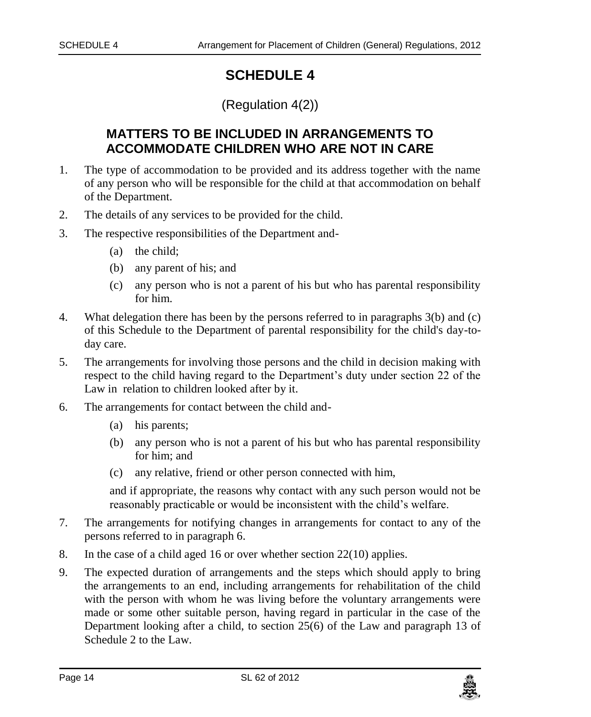#### (Regulation 4(2))

## <span id="page-13-0"></span>**MATTERS TO BE INCLUDED IN ARRANGEMENTS TO ACCOMMODATE CHILDREN WHO ARE NOT IN CARE**

- <span id="page-13-1"></span>1. The type of accommodation to be provided and its address together with the name of any person who will be responsible for the child at that accommodation on behalf of the Department.
- 2. The details of any services to be provided for the child.
- 3. The respective responsibilities of the Department and-
	- (a) the child;
	- (b) any parent of his; and
	- (c) any person who is not a parent of his but who has parental responsibility for him.
- 4. What delegation there has been by the persons referred to in paragraphs 3(b) and (c) of this Schedule to the Department of parental responsibility for the child's day-today care.
- 5. The arrangements for involving those persons and the child in decision making with respect to the child having regard to the Department's duty under section 22 of the Law in relation to children looked after by it.
- 6. The arrangements for contact between the child and-
	- (a) his parents;
	- (b) any person who is not a parent of his but who has parental responsibility for him; and
	- (c) any relative, friend or other person connected with him,

and if appropriate, the reasons why contact with any such person would not be reasonably practicable or would be inconsistent with the child's welfare.

- 7. The arrangements for notifying changes in arrangements for contact to any of the persons referred to in paragraph 6.
- 8. In the case of a child aged 16 or over whether section 22(10) applies.
- 9. The expected duration of arrangements and the steps which should apply to bring the arrangements to an end, including arrangements for rehabilitation of the child with the person with whom he was living before the voluntary arrangements were made or some other suitable person, having regard in particular in the case of the Department looking after a child, to section 25(6) of the Law and paragraph 13 of Schedule 2 to the Law.